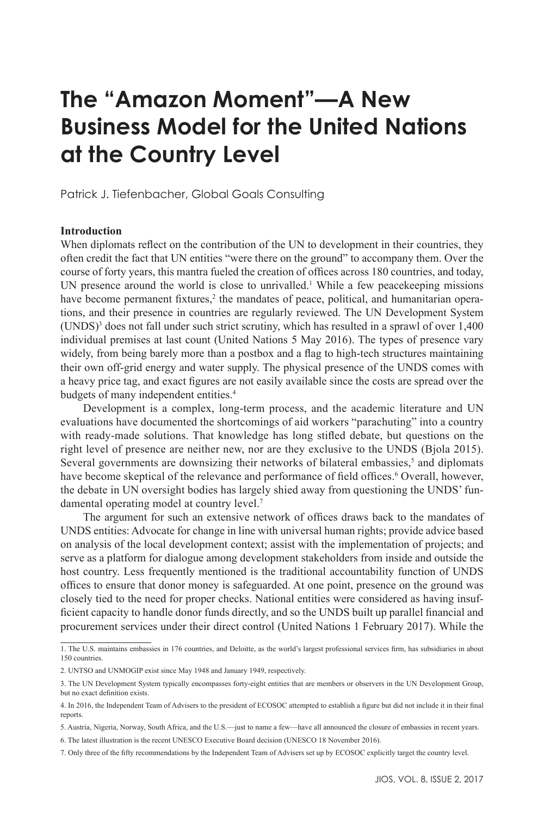# **The "Amazon Moment"—A New Business Model for the United Nations at the Country Level**

Patrick J. Tiefenbacher, Global Goals Consulting

# **Introduction**

When diplomats reflect on the contribution of the UN to development in their countries, they often credit the fact that UN entities "were there on the ground" to accompany them. Over the course of forty years, this mantra fueled the creation of offices across 180 countries, and today, UN presence around the world is close to unrivalled.<sup>1</sup> While a few peacekeeping missions have become permanent fixtures,<sup>2</sup> the mandates of peace, political, and humanitarian operations, and their presence in countries are regularly reviewed. The UN Development System  $(UNDS)<sup>3</sup>$  does not fall under such strict scrutiny, which has resulted in a sprawl of over 1,400 individual premises at last count (United Nations 5 May 2016). The types of presence vary widely, from being barely more than a postbox and a flag to high-tech structures maintaining their own off-grid energy and water supply. The physical presence of the UNDS comes with a heavy price tag, and exact figures are not easily available since the costs are spread over the budgets of many independent entities.<sup>4</sup>

Development is a complex, long-term process, and the academic literature and UN evaluations have documented the shortcomings of aid workers "parachuting" into a country with ready-made solutions. That knowledge has long stifled debate, but questions on the right level of presence are neither new, nor are they exclusive to the UNDS (Bjola 2015). Several governments are downsizing their networks of bilateral embassies, $5$  and diplomats have become skeptical of the relevance and performance of field offices.<sup>6</sup> Overall, however, the debate in UN oversight bodies has largely shied away from questioning the UNDS' fundamental operating model at country level.7

The argument for such an extensive network of offices draws back to the mandates of UNDS entities: Advocate for change in line with universal human rights; provide advice based on analysis of the local development context; assist with the implementation of projects; and serve as a platform for dialogue among development stakeholders from inside and outside the host country. Less frequently mentioned is the traditional accountability function of UNDS offices to ensure that donor money is safeguarded. At one point, presence on the ground was closely tied to the need for proper checks. National entities were considered as having insufficient capacity to handle donor funds directly, and so the UNDS built up parallel financial and procurement services under their direct control (United Nations 1 February 2017). While the

<sup>1.</sup> The U.S. maintains embassies in 176 countries, and Deloitte, as the world's largest professional services firm, has subsidiaries in about 150 countries.

<sup>2.</sup> UNTSO and UNMOGIP exist since May 1948 and January 1949, respectively.

<sup>3.</sup> The UN Development System typically encompasses forty-eight entities that are members or observers in the UN Development Group, but no exact definition exists.

<sup>4.</sup> In 2016, the Independent Team of Advisers to the president of ECOSOC attempted to establish a figure but did not include it in their final reports.

<sup>5.</sup> Austria, Nigeria, Norway, South Africa, and the U.S.—just to name a few—have all announced the closure of embassies in recent years.

<sup>6.</sup> The latest illustration is the recent UNESCO Executive Board decision (UNESCO 18 November 2016).

<sup>7.</sup> Only three of the fifty recommendations by the Independent Team of Advisers set up by ECOSOC explicitly target the country level.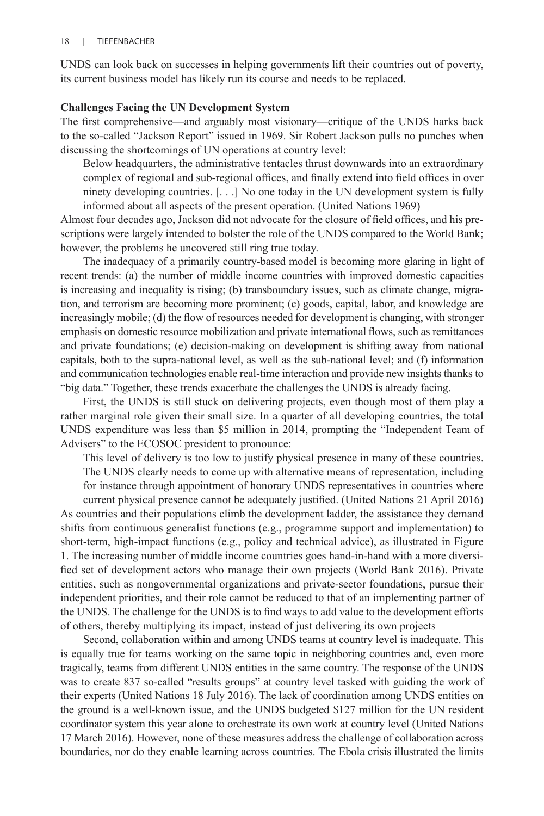UNDS can look back on successes in helping governments lift their countries out of poverty, its current business model has likely run its course and needs to be replaced.

## **Challenges Facing the UN Development System**

The first comprehensive—and arguably most visionary—critique of the UNDS harks back to the so-called "Jackson Report" issued in 1969. Sir Robert Jackson pulls no punches when discussing the shortcomings of UN operations at country level:

Below headquarters, the administrative tentacles thrust downwards into an extraordinary complex of regional and sub-regional offices, and finally extend into field offices in over ninety developing countries. [. . .] No one today in the UN development system is fully informed about all aspects of the present operation. (United Nations 1969)

Almost four decades ago, Jackson did not advocate for the closure of field offices, and his prescriptions were largely intended to bolster the role of the UNDS compared to the World Bank; however, the problems he uncovered still ring true today.

The inadequacy of a primarily country-based model is becoming more glaring in light of recent trends: (a) the number of middle income countries with improved domestic capacities is increasing and inequality is rising; (b) transboundary issues, such as climate change, migration, and terrorism are becoming more prominent; (c) goods, capital, labor, and knowledge are increasingly mobile; (d) the flow of resources needed for development is changing, with stronger emphasis on domestic resource mobilization and private international flows, such as remittances and private foundations; (e) decision-making on development is shifting away from national capitals, both to the supra-national level, as well as the sub-national level; and (f) information and communication technologies enable real-time interaction and provide new insights thanks to "big data." Together, these trends exacerbate the challenges the UNDS is already facing.

First, the UNDS is still stuck on delivering projects, even though most of them play a rather marginal role given their small size. In a quarter of all developing countries, the total UNDS expenditure was less than \$5 million in 2014, prompting the "Independent Team of Advisers" to the ECOSOC president to pronounce:

This level of delivery is too low to justify physical presence in many of these countries. The UNDS clearly needs to come up with alternative means of representation, including for instance through appointment of honorary UNDS representatives in countries where

current physical presence cannot be adequately justified. (United Nations 21 April 2016) As countries and their populations climb the development ladder, the assistance they demand shifts from continuous generalist functions (e.g., programme support and implementation) to short-term, high-impact functions (e.g., policy and technical advice), as illustrated in Figure 1. The increasing number of middle income countries goes hand-in-hand with a more diversified set of development actors who manage their own projects (World Bank 2016). Private entities, such as nongovernmental organizations and private-sector foundations, pursue their independent priorities, and their role cannot be reduced to that of an implementing partner of the UNDS. The challenge for the UNDS is to find ways to add value to the development efforts of others, thereby multiplying its impact, instead of just delivering its own projects

Second, collaboration within and among UNDS teams at country level is inadequate. This is equally true for teams working on the same topic in neighboring countries and, even more tragically, teams from different UNDS entities in the same country. The response of the UNDS was to create 837 so-called "results groups" at country level tasked with guiding the work of their experts (United Nations 18 July 2016). The lack of coordination among UNDS entities on the ground is a well-known issue, and the UNDS budgeted \$127 million for the UN resident coordinator system this year alone to orchestrate its own work at country level (United Nations 17 March 2016). However, none of these measures address the challenge of collaboration across boundaries, nor do they enable learning across countries. The Ebola crisis illustrated the limits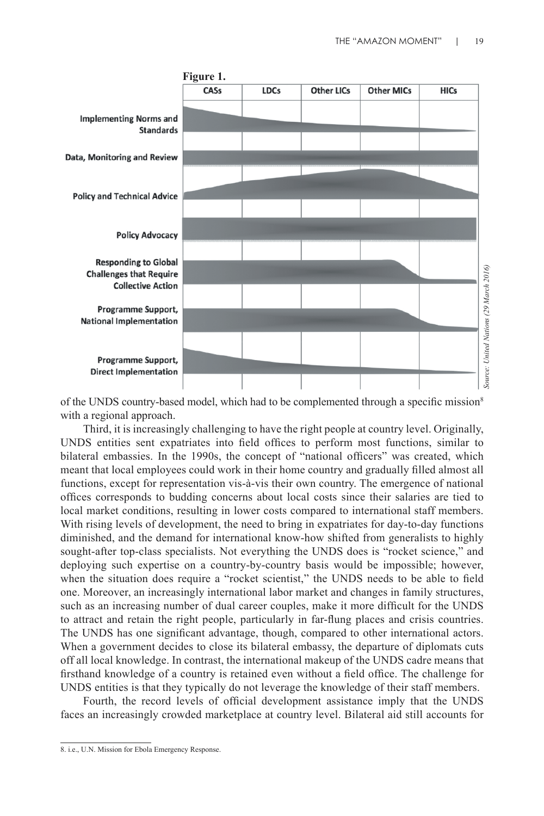

of the UNDS country-based model, which had to be complemented through a specific mission<sup>8</sup> with a regional approach.

Third, it is increasingly challenging to have the right people at country level. Originally, UNDS entities sent expatriates into field offices to perform most functions, similar to bilateral embassies. In the 1990s, the concept of "national officers" was created, which meant that local employees could work in their home country and gradually filled almost all functions, except for representation vis-à-vis their own country. The emergence of national offices corresponds to budding concerns about local costs since their salaries are tied to local market conditions, resulting in lower costs compared to international staff members. With rising levels of development, the need to bring in expatriates for day-to-day functions diminished, and the demand for international know-how shifted from generalists to highly sought-after top-class specialists. Not everything the UNDS does is "rocket science," and deploying such expertise on a country-by-country basis would be impossible; however, when the situation does require a "rocket scientist," the UNDS needs to be able to field one. Moreover, an increasingly international labor market and changes in family structures, such as an increasing number of dual career couples, make it more difficult for the UNDS to attract and retain the right people, particularly in far-flung places and crisis countries. The UNDS has one significant advantage, though, compared to other international actors. When a government decides to close its bilateral embassy, the departure of diplomats cuts off all local knowledge. In contrast, the international makeup of the UNDS cadre means that firsthand knowledge of a country is retained even without a field office. The challenge for UNDS entities is that they typically do not leverage the knowledge of their staff members.

Fourth, the record levels of official development assistance imply that the UNDS faces an increasingly crowded marketplace at country level. Bilateral aid still accounts for

<sup>8.</sup> i.e., U.N. Mission for Ebola Emergency Response.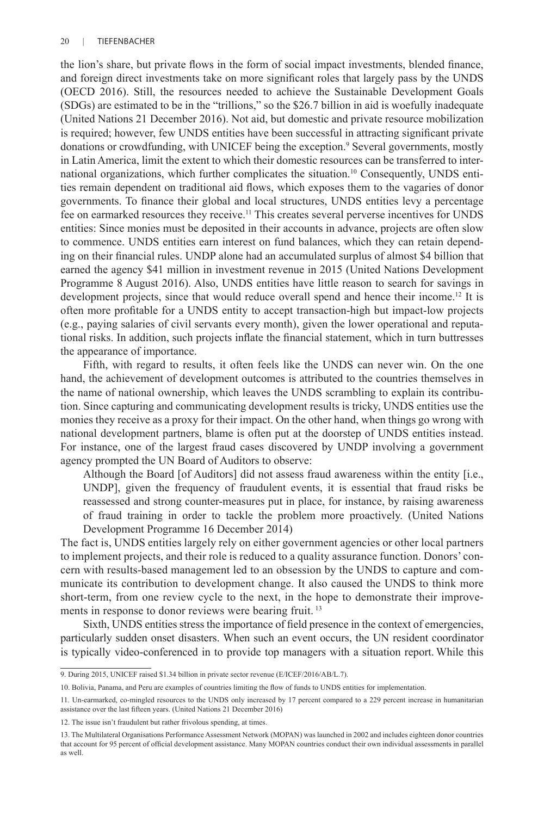the lion's share, but private flows in the form of social impact investments, blended finance, and foreign direct investments take on more significant roles that largely pass by the UNDS (OECD 2016). Still, the resources needed to achieve the Sustainable Development Goals (SDGs) are estimated to be in the "trillions," so the \$26.7 billion in aid is woefully inadequate (United Nations 21 December 2016). Not aid, but domestic and private resource mobilization is required; however, few UNDS entities have been successful in attracting significant private donations or crowdfunding, with UNICEF being the exception.<sup>9</sup> Several governments, mostly in Latin America, limit the extent to which their domestic resources can be transferred to international organizations, which further complicates the situation.10 Consequently, UNDS entities remain dependent on traditional aid flows, which exposes them to the vagaries of donor governments. To finance their global and local structures, UNDS entities levy a percentage fee on earmarked resources they receive.11 This creates several perverse incentives for UNDS entities: Since monies must be deposited in their accounts in advance, projects are often slow to commence. UNDS entities earn interest on fund balances, which they can retain depending on their financial rules. UNDP alone had an accumulated surplus of almost \$4 billion that earned the agency \$41 million in investment revenue in 2015 (United Nations Development Programme 8 August 2016). Also, UNDS entities have little reason to search for savings in development projects, since that would reduce overall spend and hence their income.<sup>12</sup> It is often more profitable for a UNDS entity to accept transaction-high but impact-low projects (e.g., paying salaries of civil servants every month), given the lower operational and reputational risks. In addition, such projects inflate the financial statement, which in turn buttresses the appearance of importance.

Fifth, with regard to results, it often feels like the UNDS can never win. On the one hand, the achievement of development outcomes is attributed to the countries themselves in the name of national ownership, which leaves the UNDS scrambling to explain its contribution. Since capturing and communicating development results is tricky, UNDS entities use the monies they receive as a proxy for their impact. On the other hand, when things go wrong with national development partners, blame is often put at the doorstep of UNDS entities instead. For instance, one of the largest fraud cases discovered by UNDP involving a government agency prompted the UN Board of Auditors to observe:

Although the Board [of Auditors] did not assess fraud awareness within the entity [i.e., UNDP], given the frequency of fraudulent events, it is essential that fraud risks be reassessed and strong counter-measures put in place, for instance, by raising awareness of fraud training in order to tackle the problem more proactively. (United Nations Development Programme 16 December 2014)

The fact is, UNDS entities largely rely on either government agencies or other local partners to implement projects, and their role is reduced to a quality assurance function. Donors' concern with results-based management led to an obsession by the UNDS to capture and communicate its contribution to development change. It also caused the UNDS to think more short-term, from one review cycle to the next, in the hope to demonstrate their improvements in response to donor reviews were bearing fruit.<sup>13</sup>

Sixth, UNDS entities stress the importance of field presence in the context of emergencies, particularly sudden onset disasters. When such an event occurs, the UN resident coordinator is typically video-conferenced in to provide top managers with a situation report. While this

<sup>9.</sup> During 2015, UNICEF raised \$1.34 billion in private sector revenue (E/ICEF/2016/AB/L.7).

<sup>10.</sup> Bolivia, Panama, and Peru are examples of countries limiting the flow of funds to UNDS entities for implementation.

<sup>11.</sup> Un-earmarked, co-mingled resources to the UNDS only increased by 17 percent compared to a 229 percent increase in humanitarian assistance over the last fifteen years. (United Nations 21 December 2016)

<sup>12.</sup> The issue isn't fraudulent but rather frivolous spending, at times.

<sup>13.</sup> The Multilateral Organisations Performance Assessment Network (MOPAN) was launched in 2002 and includes eighteen donor countries that account for 95 percent of official development assistance. Many MOPAN countries conduct their own individual assessments in parallel as well.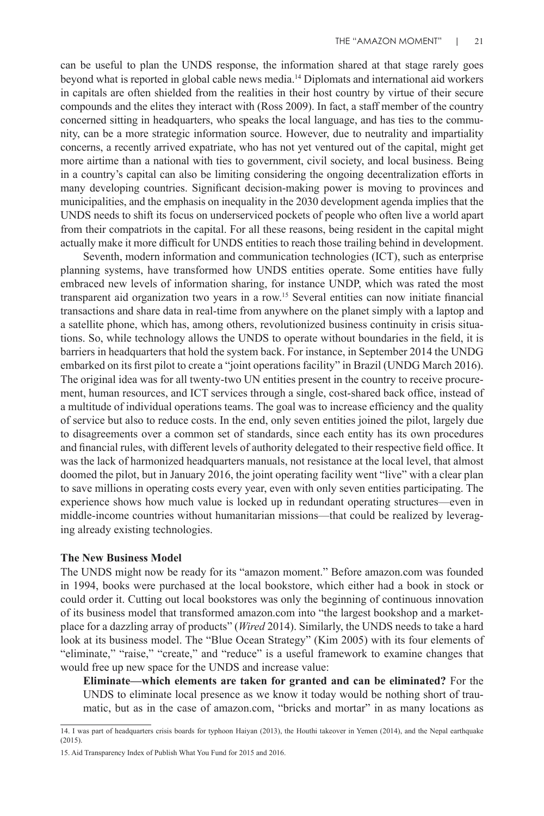can be useful to plan the UNDS response, the information shared at that stage rarely goes beyond what is reported in global cable news media.14 Diplomats and international aid workers in capitals are often shielded from the realities in their host country by virtue of their secure compounds and the elites they interact with (Ross 2009). In fact, a staff member of the country concerned sitting in headquarters, who speaks the local language, and has ties to the community, can be a more strategic information source. However, due to neutrality and impartiality concerns, a recently arrived expatriate, who has not yet ventured out of the capital, might get more airtime than a national with ties to government, civil society, and local business. Being in a country's capital can also be limiting considering the ongoing decentralization efforts in many developing countries. Significant decision-making power is moving to provinces and municipalities, and the emphasis on inequality in the 2030 development agenda implies that the UNDS needs to shift its focus on underserviced pockets of people who often live a world apart from their compatriots in the capital. For all these reasons, being resident in the capital might actually make it more difficult for UNDS entities to reach those trailing behind in development.

Seventh, modern information and communication technologies (ICT), such as enterprise planning systems, have transformed how UNDS entities operate. Some entities have fully embraced new levels of information sharing, for instance UNDP, which was rated the most transparent aid organization two years in a row.15 Several entities can now initiate financial transactions and share data in real-time from anywhere on the planet simply with a laptop and a satellite phone, which has, among others, revolutionized business continuity in crisis situations. So, while technology allows the UNDS to operate without boundaries in the field, it is barriers in headquarters that hold the system back. For instance, in September 2014 the UNDG embarked on its first pilot to create a "joint operations facility" in Brazil (UNDG March 2016). The original idea was for all twenty-two UN entities present in the country to receive procurement, human resources, and ICT services through a single, cost-shared back office, instead of a multitude of individual operations teams. The goal was to increase efficiency and the quality of service but also to reduce costs. In the end, only seven entities joined the pilot, largely due to disagreements over a common set of standards, since each entity has its own procedures and financial rules, with different levels of authority delegated to their respective field office. It was the lack of harmonized headquarters manuals, not resistance at the local level, that almost doomed the pilot, but in January 2016, the joint operating facility went "live" with a clear plan to save millions in operating costs every year, even with only seven entities participating. The experience shows how much value is locked up in redundant operating structures—even in middle-income countries without humanitarian missions—that could be realized by leveraging already existing technologies.

#### **The New Business Model**

The UNDS might now be ready for its "amazon moment." Before amazon.com was founded in 1994, books were purchased at the local bookstore, which either had a book in stock or could order it. Cutting out local bookstores was only the beginning of continuous innovation of its business model that transformed amazon.com into "the largest bookshop and a marketplace for a dazzling array of products" (*Wired* 2014). Similarly, the UNDS needs to take a hard look at its business model. The "Blue Ocean Strategy" (Kim 2005) with its four elements of "eliminate," "raise," "create," and "reduce" is a useful framework to examine changes that would free up new space for the UNDS and increase value:

**Eliminate—which elements are taken for granted and can be eliminated?** For the UNDS to eliminate local presence as we know it today would be nothing short of traumatic, but as in the case of amazon.com, "bricks and mortar" in as many locations as

<sup>14.</sup> I was part of headquarters crisis boards for typhoon Haiyan (2013), the Houthi takeover in Yemen (2014), and the Nepal earthquake  $(2015)$ 

<sup>15.</sup> Aid Transparency Index of Publish What You Fund for 2015 and 2016.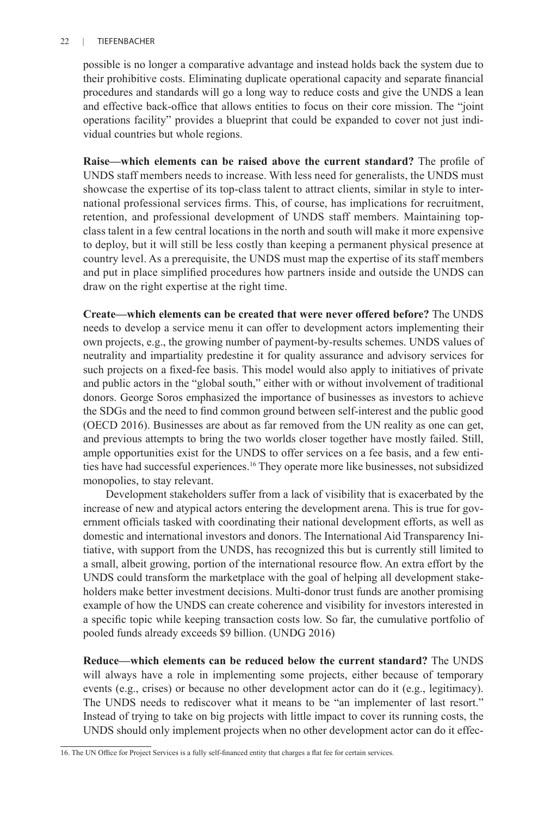# 22 | TIEFENBACHER

possible is no longer a comparative advantage and instead holds back the system due to their prohibitive costs. Eliminating duplicate operational capacity and separate financial procedures and standards will go a long way to reduce costs and give the UNDS a lean and effective back-office that allows entities to focus on their core mission. The "joint operations facility" provides a blueprint that could be expanded to cover not just individual countries but whole regions.

**Raise—which elements can be raised above the current standard?** The profile of UNDS staff members needs to increase. With less need for generalists, the UNDS must showcase the expertise of its top-class talent to attract clients, similar in style to international professional services firms. This, of course, has implications for recruitment, retention, and professional development of UNDS staff members. Maintaining topclass talent in a few central locations in the north and south will make it more expensive to deploy, but it will still be less costly than keeping a permanent physical presence at country level. As a prerequisite, the UNDS must map the expertise of its staff members and put in place simplified procedures how partners inside and outside the UNDS can draw on the right expertise at the right time.

**Create—which elements can be created that were never offered before?** The UNDS needs to develop a service menu it can offer to development actors implementing their own projects, e.g., the growing number of payment-by-results schemes. UNDS values of neutrality and impartiality predestine it for quality assurance and advisory services for such projects on a fixed-fee basis. This model would also apply to initiatives of private and public actors in the "global south," either with or without involvement of traditional donors. George Soros emphasized the importance of businesses as investors to achieve the SDGs and the need to find common ground between self-interest and the public good (OECD 2016). Businesses are about as far removed from the UN reality as one can get, and previous attempts to bring the two worlds closer together have mostly failed. Still, ample opportunities exist for the UNDS to offer services on a fee basis, and a few entities have had successful experiences.16 They operate more like businesses, not subsidized monopolies, to stay relevant.

Development stakeholders suffer from a lack of visibility that is exacerbated by the increase of new and atypical actors entering the development arena. This is true for government officials tasked with coordinating their national development efforts, as well as domestic and international investors and donors. The International Aid Transparency Initiative, with support from the UNDS, has recognized this but is currently still limited to a small, albeit growing, portion of the international resource flow. An extra effort by the UNDS could transform the marketplace with the goal of helping all development stakeholders make better investment decisions. Multi-donor trust funds are another promising example of how the UNDS can create coherence and visibility for investors interested in a specific topic while keeping transaction costs low. So far, the cumulative portfolio of pooled funds already exceeds \$9 billion. (UNDG 2016)

**Reduce—which elements can be reduced below the current standard?** The UNDS will always have a role in implementing some projects, either because of temporary events (e.g., crises) or because no other development actor can do it (e.g., legitimacy). The UNDS needs to rediscover what it means to be "an implementer of last resort." Instead of trying to take on big projects with little impact to cover its running costs, the UNDS should only implement projects when no other development actor can do it effec-

<sup>16.</sup> The UN Office for Project Services is a fully self-financed entity that charges a flat fee for certain services.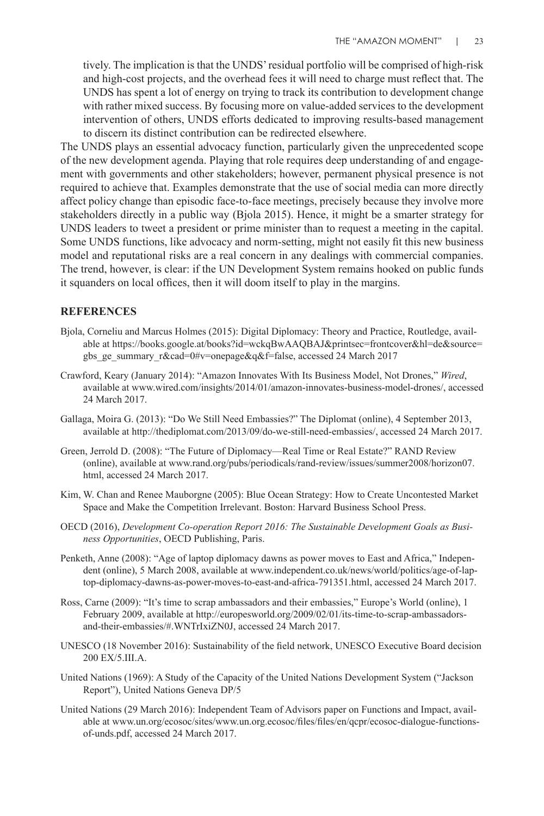tively. The implication is that the UNDS' residual portfolio will be comprised of high-risk and high-cost projects, and the overhead fees it will need to charge must reflect that. The UNDS has spent a lot of energy on trying to track its contribution to development change with rather mixed success. By focusing more on value-added services to the development intervention of others, UNDS efforts dedicated to improving results-based management to discern its distinct contribution can be redirected elsewhere.

The UNDS plays an essential advocacy function, particularly given the unprecedented scope of the new development agenda. Playing that role requires deep understanding of and engagement with governments and other stakeholders; however, permanent physical presence is not required to achieve that. Examples demonstrate that the use of social media can more directly affect policy change than episodic face-to-face meetings, precisely because they involve more stakeholders directly in a public way (Bjola 2015). Hence, it might be a smarter strategy for UNDS leaders to tweet a president or prime minister than to request a meeting in the capital. Some UNDS functions, like advocacy and norm-setting, might not easily fit this new business model and reputational risks are a real concern in any dealings with commercial companies. The trend, however, is clear: if the UN Development System remains hooked on public funds it squanders on local offices, then it will doom itself to play in the margins.

## **REFERENCES**

- Bjola, Corneliu and Marcus Holmes (2015): Digital Diplomacy: Theory and Practice, Routledge, available at https://books.google.at/books?id=wckqBwAAQBAJ&printsec=frontcover&hl=de&source= gbs\_ge\_summary\_r&cad=0#v=onepage&q&f=false, accessed 24 March 2017
- Crawford, Keary (January 2014): "Amazon Innovates With Its Business Model, Not Drones," *Wired*, available at www.wired.com/insights/2014/01/amazon-innovates-business-model-drones/, accessed 24 March 2017.
- Gallaga, Moira G. (2013): "Do We Still Need Embassies?" The Diplomat (online), 4 September 2013, available at http://thediplomat.com/2013/09/do-we-still-need-embassies/, accessed 24 March 2017.
- Green, Jerrold D. (2008): "The Future of Diplomacy—Real Time or Real Estate?" RAND Review (online), available at www.rand.org/pubs/periodicals/rand-review/issues/summer2008/horizon07. html, accessed 24 March 2017.
- Kim, W. Chan and Renee Mauborgne (2005): Blue Ocean Strategy: How to Create Uncontested Market Space and Make the Competition Irrelevant. Boston: Harvard Business School Press.
- OECD (2016), *Development Co-operation Report 2016: The Sustainable Development Goals as Business Opportunities*, OECD Publishing, Paris.
- Penketh, Anne (2008): "Age of laptop diplomacy dawns as power moves to East and Africa," Independent (online), 5 March 2008, available at www.independent.co.uk/news/world/politics/age-of-laptop-diplomacy-dawns-as-power-moves-to-east-and-africa-791351.html, accessed 24 March 2017.
- Ross, Carne (2009): "It's time to scrap ambassadors and their embassies," Europe's World (online), 1 February 2009, available at http://europesworld.org/2009/02/01/its-time-to-scrap-ambassadorsand-their-embassies/#.WNTrIxiZN0J, accessed 24 March 2017.
- UNESCO (18 November 2016): Sustainability of the field network, UNESCO Executive Board decision 200 EX/5.III.A.
- United Nations (1969): A Study of the Capacity of the United Nations Development System ("Jackson Report"), United Nations Geneva DP/5
- United Nations (29 March 2016): Independent Team of Advisors paper on Functions and Impact, available at www.un.org/ecosoc/sites/www.un.org.ecosoc/files/files/en/qcpr/ecosoc-dialogue-functionsof-unds.pdf, accessed 24 March 2017.